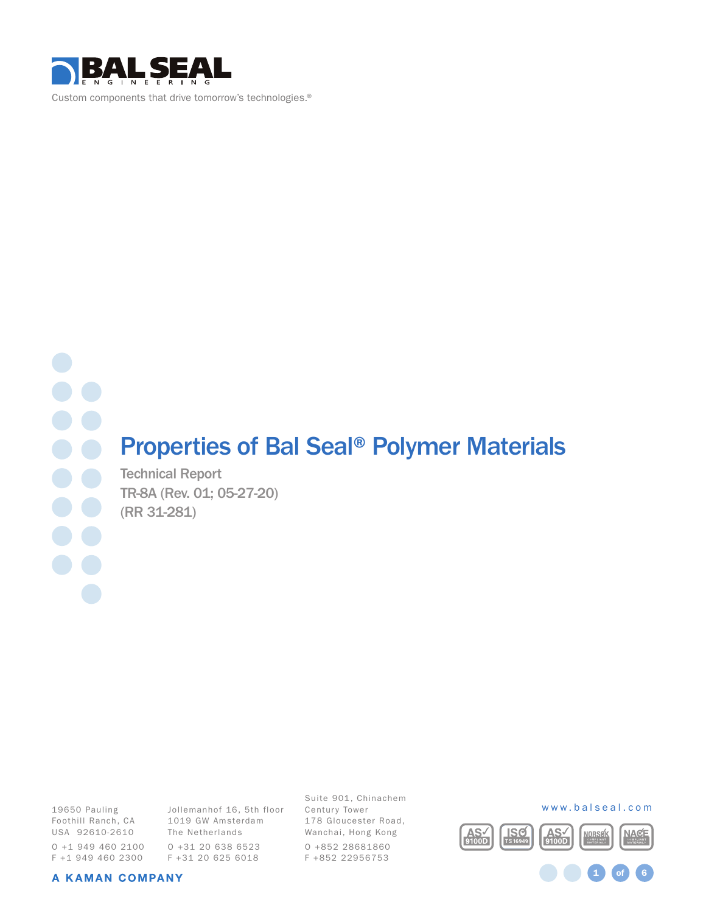

Custom components that drive tomorrow's technologies.®

# Properties of Bal Seal® Polymer Materials

Technical Report TR-8A (Rev. 01; 05-27-20) (RR 31-281)

19650 Pauling Foothill Ranch, CA USA 92610-2610 O +1 949 460 2100 F +1 949 460 2300

Jollemanhof 16, 5th floor 1019 GW Amsterdam The Netherlands O +31 20 638 6523 F +31 20 625 6018

Suite 901, Chinachem Century Tower 178 Gloucester Road, Wanchai, Hong Kong O +852 28681860 F +852 22956753



1 **of** 6

#### A KAMAN COMPANY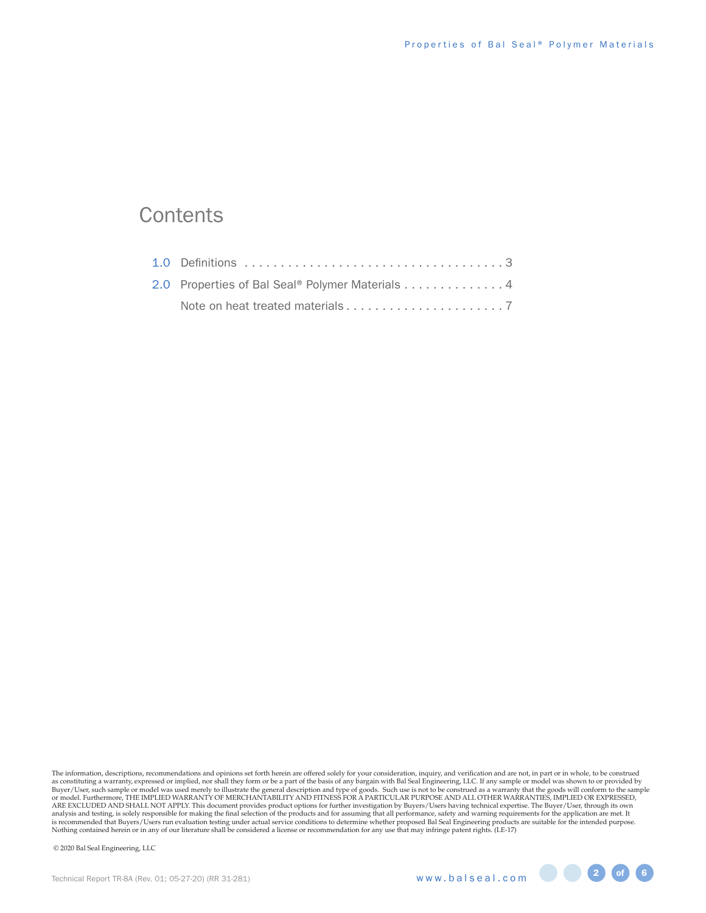## **Contents**

| 2.0 Properties of Bal Seal® Polymer Materials 4 |  |
|-------------------------------------------------|--|
|                                                 |  |

The information, descriptions, recommendations and opinions set forth herein are offered solely for your consideration, inquiry, and verification and are not, in part or in whole, to be construed as constituting a warranty, expressed or implied, nor shall they form or be a part of the basis of any bargain with Bal Seal Engineering, LLC. If any sample or model was shown to or provided by<br>Buyer /User, such sample or ARE EXCLUDED AND SHALL NOT APPLY. This document provides product options for further investigation by Buyers/Users having technical expertise. The Buyer/User, through its own<br>analysis and testing, is solely responsible for Nothing contained herein or in any of our literature shall be considered a license or recommendation for any use that may infringe patent rights. (LE-17)

© 2020 Bal Seal Engineering, LLC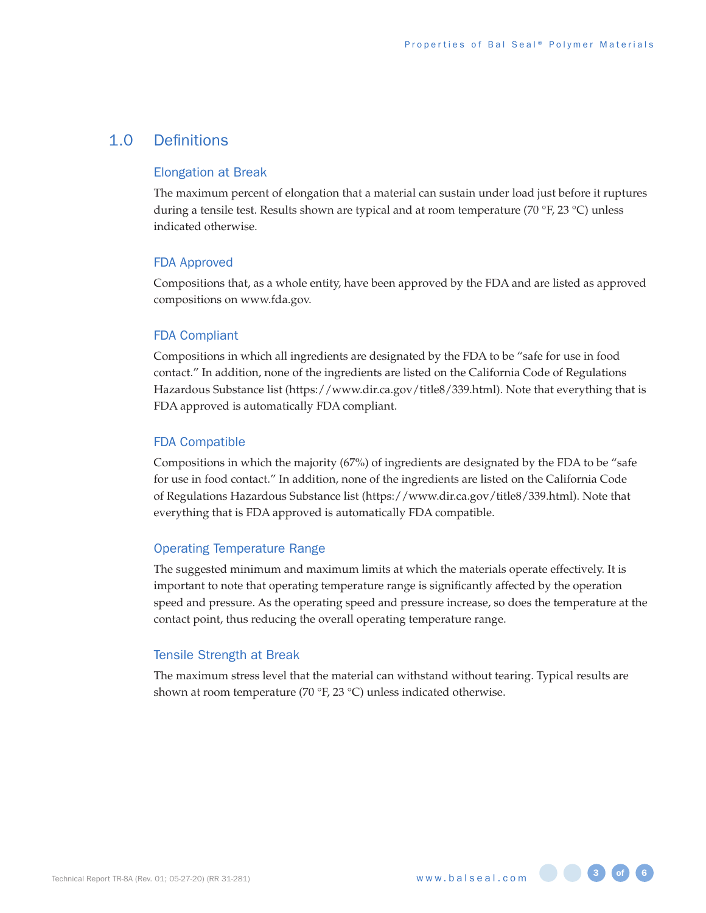### 1.0 Definitions

#### Elongation at Break

The maximum percent of elongation that a material can sustain under load just before it ruptures during a tensile test. Results shown are typical and at room temperature (70 °F, 23 °C) unless indicated otherwise.

#### FDA Approved

Compositions that, as a whole entity, have been approved by the FDA and are listed as approved compositions on www.fda.gov.

#### FDA Compliant

Compositions in which all ingredients are designated by the FDA to be "safe for use in food contact." In addition, none of the ingredients are listed on the California Code of Regulations Hazardous Substance list (https://www.dir.ca.gov/title8/339.html). Note that everything that is FDA approved is automatically FDA compliant.

### FDA Compatible

Compositions in which the majority (67%) of ingredients are designated by the FDA to be "safe for use in food contact." In addition, none of the ingredients are listed on the California Code of Regulations Hazardous Substance list (https://www.dir.ca.gov/title8/339.html). Note that everything that is FDA approved is automatically FDA compatible.

#### Operating Temperature Range

The suggested minimum and maximum limits at which the materials operate effectively. It is important to note that operating temperature range is significantly affected by the operation speed and pressure. As the operating speed and pressure increase, so does the temperature at the contact point, thus reducing the overall operating temperature range.

#### Tensile Strength at Break

The maximum stress level that the material can withstand without tearing. Typical results are shown at room temperature (70 °F, 23 °C) unless indicated otherwise.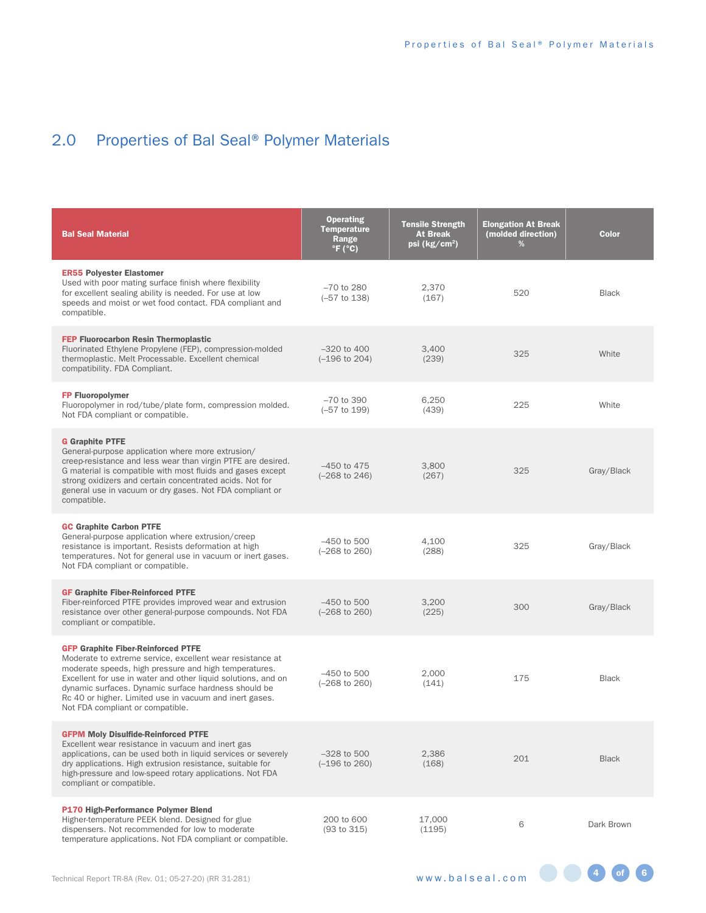# 2.0 Properties of Bal Seal® Polymer Materials

| <b>Bal Seal Material</b>                                                                                                                                                                                                                                                                                                                                                                | <b>Operating</b><br><b>Temperature</b><br>Range<br>$\degree$ F ( $\degree$ C) | <b>Tensile Strength</b><br><b>At Break</b><br>psi ( $kg/cm2$ ) | <b>Elongation At Break</b><br>(molded direction)<br>% | <b>Color</b> |
|-----------------------------------------------------------------------------------------------------------------------------------------------------------------------------------------------------------------------------------------------------------------------------------------------------------------------------------------------------------------------------------------|-------------------------------------------------------------------------------|----------------------------------------------------------------|-------------------------------------------------------|--------------|
| <b>ER55 Polyester Elastomer</b><br>Used with poor mating surface finish where flexibility<br>for excellent sealing ability is needed. For use at low<br>speeds and moist or wet food contact. FDA compliant and<br>compatible.                                                                                                                                                          | $-70$ to 280<br>$(-57$ to 138)                                                | 2,370<br>(167)                                                 | 520                                                   | <b>Black</b> |
| <b>FEP Fluorocarbon Resin Thermoplastic</b><br>Fluorinated Ethylene Propylene (FEP), compression-molded<br>thermoplastic. Melt Processable. Excellent chemical<br>compatibility. FDA Compliant.                                                                                                                                                                                         | $-320$ to $400$<br>$(-196 \text{ to } 204)$                                   | 3,400<br>(239)                                                 | 325                                                   | White        |
| <b>FP Fluoropolymer</b><br>Fluoropolymer in rod/tube/plate form, compression molded.<br>Not FDA compliant or compatible.                                                                                                                                                                                                                                                                | $-70$ to 390<br>$(-57$ to 199)                                                | 6,250<br>(439)                                                 | 225                                                   | White        |
| <b>G</b> Graphite PTFE<br>General-purpose application where more extrusion/<br>creep-resistance and less wear than virgin PTFE are desired.<br>G material is compatible with most fluids and gases except<br>strong oxidizers and certain concentrated acids. Not for<br>general use in vacuum or dry gases. Not FDA compliant or<br>compatible.                                        | $-450$ to $475$<br>$(-268 \text{ to } 246)$                                   | 3,800<br>(267)                                                 | 325                                                   | Gray/Black   |
| <b>GC Graphite Carbon PTFE</b><br>General-purpose application where extrusion/creep<br>resistance is important. Resists deformation at high<br>temperatures. Not for general use in vacuum or inert gases.<br>Not FDA compliant or compatible.                                                                                                                                          | $-450$ to 500<br>$(-268 \text{ to } 260)$                                     | 4,100<br>(288)                                                 | 325                                                   | Gray/Black   |
| <b>GF Graphite Fiber-Reinforced PTFE</b><br>Fiber-reinforced PTFE provides improved wear and extrusion<br>resistance over other general-purpose compounds. Not FDA<br>compliant or compatible.                                                                                                                                                                                          | $-450$ to 500<br>$(-268 \text{ to } 260)$                                     | 3,200<br>(225)                                                 | 300                                                   | Gray/Black   |
| <b>GFP Graphite Fiber-Reinforced PTFE</b><br>Moderate to extreme service, excellent wear resistance at<br>moderate speeds, high pressure and high temperatures.<br>Excellent for use in water and other liquid solutions, and on<br>dynamic surfaces. Dynamic surface hardness should be<br>Rc 40 or higher. Limited use in vacuum and inert gases.<br>Not FDA compliant or compatible. | $-450$ to 500<br>$(-268 \text{ to } 260)$                                     | 2,000<br>(141)                                                 | 175                                                   | <b>Black</b> |
| <b>GFPM Moly Disulfide-Reinforced PTFE</b><br>Excellent wear resistance in vacuum and inert gas<br>applications, can be used both in liquid services or severely<br>dry applications. High extrusion resistance, suitable for<br>high-pressure and low-speed rotary applications. Not FDA<br>compliant or compatible.                                                                   | $-328$ to 500<br>$(-196 \text{ to } 260)$                                     | 2,386<br>(168)                                                 | 201                                                   | <b>Black</b> |
| P170 High-Performance Polymer Blend<br>Higher-temperature PEEK blend. Designed for glue<br>dispensers. Not recommended for low to moderate<br>temperature applications. Not FDA compliant or compatible.                                                                                                                                                                                | 200 to 600<br>(93 to 315)                                                     | 17,000<br>(1195)                                               | 6                                                     | Dark Brown   |

4 of 6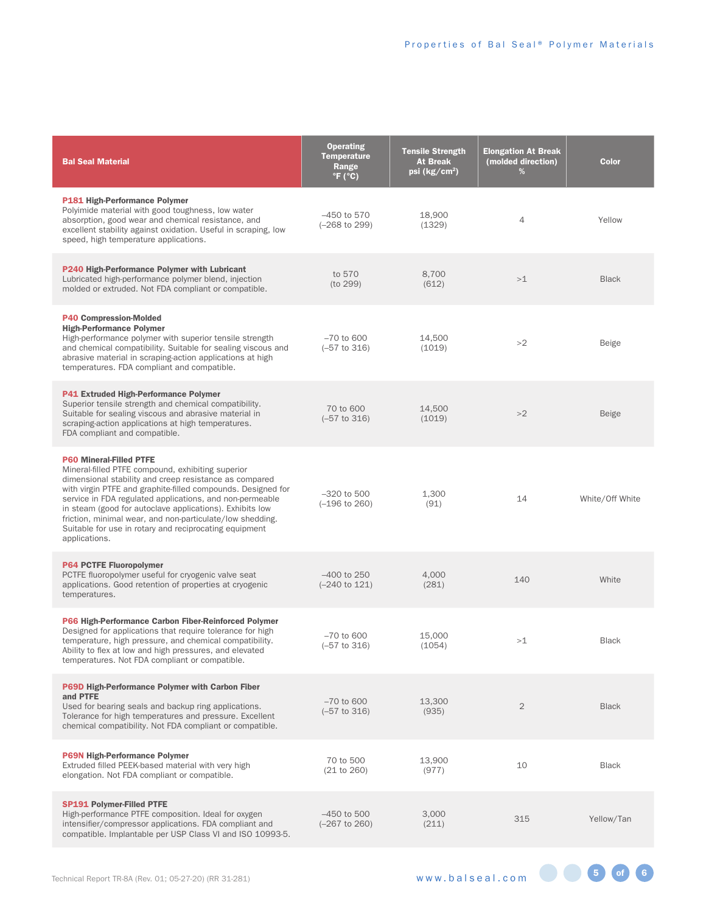| <b>Bal Seal Material</b>                                                                                                                                                                                                                                                                                                                                                                                                                                                      | <b>Operating</b><br><b>Temperature</b><br>Range<br>$\degree$ F ( $\degree$ C) | <b>Tensile Strength</b><br>At Break<br>psi ( $kg/cm2$ ) | <b>Elongation At Break</b><br>(molded direction)<br>% | <b>Color</b>    |
|-------------------------------------------------------------------------------------------------------------------------------------------------------------------------------------------------------------------------------------------------------------------------------------------------------------------------------------------------------------------------------------------------------------------------------------------------------------------------------|-------------------------------------------------------------------------------|---------------------------------------------------------|-------------------------------------------------------|-----------------|
| P181 High-Performance Polymer<br>Polyimide material with good toughness, low water<br>absorption, good wear and chemical resistance, and<br>excellent stability against oxidation. Useful in scraping, low<br>speed, high temperature applications.                                                                                                                                                                                                                           | $-450$ to 570<br>$(-268 \text{ to } 299)$                                     | 18,900<br>(1329)                                        | $\overline{4}$                                        | Yellow          |
| P240 High-Performance Polymer with Lubricant<br>Lubricated high-performance polymer blend, injection<br>molded or extruded. Not FDA compliant or compatible.                                                                                                                                                                                                                                                                                                                  | to 570<br>(to 299)                                                            | 8,700<br>(612)                                          | >1                                                    | <b>Black</b>    |
| <b>P40 Compression-Molded</b><br><b>High-Performance Polymer</b><br>High-performance polymer with superior tensile strength<br>and chemical compatibility. Suitable for sealing viscous and<br>abrasive material in scraping-action applications at high<br>temperatures. FDA compliant and compatible.                                                                                                                                                                       | $-70$ to 600<br>$(-57 \text{ to } 316)$                                       | 14,500<br>(1019)                                        | >2                                                    | Beige           |
| <b>P41 Extruded High-Performance Polymer</b><br>Superior tensile strength and chemical compatibility.<br>Suitable for sealing viscous and abrasive material in<br>scraping-action applications at high temperatures.<br>FDA compliant and compatible.                                                                                                                                                                                                                         | 70 to 600<br>$(-57$ to 316)                                                   | 14,500<br>(1019)                                        | >2                                                    | <b>Beige</b>    |
| <b>P60 Mineral-Filled PTFE</b><br>Mineral-filled PTFE compound, exhibiting superior<br>dimensional stability and creep resistance as compared<br>with virgin PTFE and graphite-filled compounds. Designed for<br>service in FDA regulated applications, and non-permeable<br>in steam (good for autoclave applications). Exhibits low<br>friction, minimal wear, and non-particulate/low shedding.<br>Suitable for use in rotary and reciprocating equipment<br>applications. | $-320$ to 500<br>$(-196 \text{ to } 260)$                                     | 1,300<br>(91)                                           | 14                                                    | White/Off White |
| <b>P64 PCTFE Fluoropolymer</b><br>PCTFE fluoropolymer useful for cryogenic valve seat<br>applications. Good retention of properties at cryogenic<br>temperatures.                                                                                                                                                                                                                                                                                                             | $-400$ to 250<br>$(-240 \text{ to } 121)$                                     | 4,000<br>(281)                                          | 140                                                   | White           |
| P66 High-Performance Carbon Fiber-Reinforced Polymer<br>Designed for applications that require tolerance for high<br>temperature, high pressure, and chemical compatibility.<br>Ability to flex at low and high pressures, and elevated<br>temperatures. Not FDA compliant or compatible.                                                                                                                                                                                     | $-70$ to 600<br>$(-57$ to 316)                                                | 15,000<br>(1054)                                        | >1                                                    | <b>Black</b>    |
| <b>P69D High-Performance Polymer with Carbon Fiber</b><br>and PTFE<br>Used for bearing seals and backup ring applications.<br>Tolerance for high temperatures and pressure. Excellent<br>chemical compatibility. Not FDA compliant or compatible.                                                                                                                                                                                                                             | $-70$ to 600<br>$(-57 \text{ to } 316)$                                       | 13,300<br>(935)                                         | $\overline{2}$                                        | <b>Black</b>    |
| <b>P69N High-Performance Polymer</b><br>Extruded filled PEEK-based material with very high<br>elongation. Not FDA compliant or compatible.                                                                                                                                                                                                                                                                                                                                    | 70 to 500<br>(21 to 260)                                                      | 13,900<br>(977)                                         | 10                                                    | <b>Black</b>    |
| <b>SP191 Polymer-Filled PTFE</b><br>High-performance PTFE composition. Ideal for oxygen<br>intensifier/compressor applications. FDA compliant and<br>compatible. Implantable per USP Class VI and ISO 10993-5.                                                                                                                                                                                                                                                                | $-450$ to 500<br>$(-267$ to 260)                                              | 3,000<br>(211)                                          | 315                                                   | Yellow/Tan      |